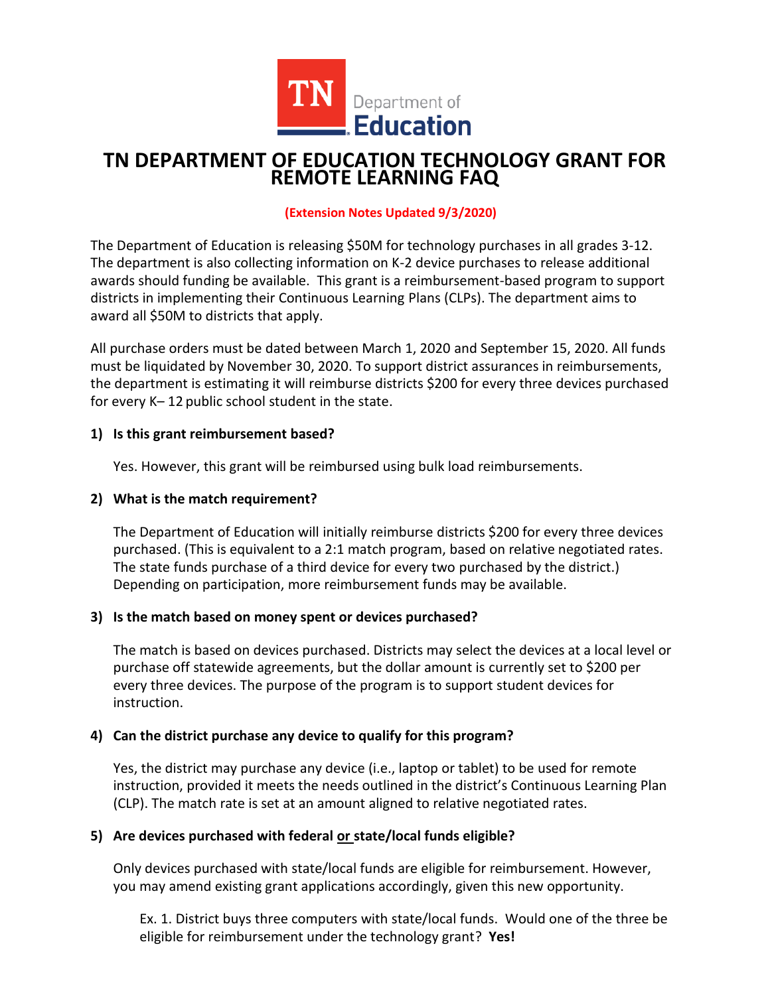

# **TN DEPARTMENT OF EDUCATION TECHNOLOGY GRANT FOR REMOTE LEARNING FAQ**

### **(Extension Notes Updated 9/3/2020)**

The Department of Education is releasing \$50M for technology purchases in all grades 3-12. The department is also collecting information on K-2 device purchases to release additional awards should funding be available. This grant is a reimbursement-based program to support districts in implementing their Continuous Learning Plans (CLPs). The department aims to award all \$50M to districts that apply.

All purchase orders must be dated between March 1, 2020 and September 15, 2020. All funds must be liquidated by November 30, 2020. To support district assurances in reimbursements, the department is estimating it will reimburse districts \$200 for every three devices purchased for every K– 12 public school student in the state.

### **1) Is this grant reimbursement based?**

Yes. However, this grant will be reimbursed using bulk load reimbursements.

### **2) What is the match requirement?**

The Department of Education will initially reimburse districts \$200 for every three devices purchased. (This is equivalent to a 2:1 match program, based on relative negotiated rates. The state funds purchase of a third device for every two purchased by the district.) Depending on participation, more reimbursement funds may be available.

### **3) Is the match based on money spent or devices purchased?**

The match is based on devices purchased. Districts may select the devices at a local level or purchase off statewide agreements, but the dollar amount is currently set to \$200 per every three devices. The purpose of the program is to support student devices for instruction.

# **4) Can the district purchase any device to qualify for this program?**

Yes, the district may purchase any device (i.e., laptop or tablet) to be used for remote instruction, provided it meets the needs outlined in the district's Continuous Learning Plan (CLP). The match rate is set at an amount aligned to relative negotiated rates.

### **5) Are devices purchased with federal or state/local funds eligible?**

Only devices purchased with state/local funds are eligible for reimbursement. However, you may amend existing grant applications accordingly, given this new opportunity.

Ex. 1. District buys three computers with state/local funds. Would one of the three be eligible for reimbursement under the technology grant? **Yes!**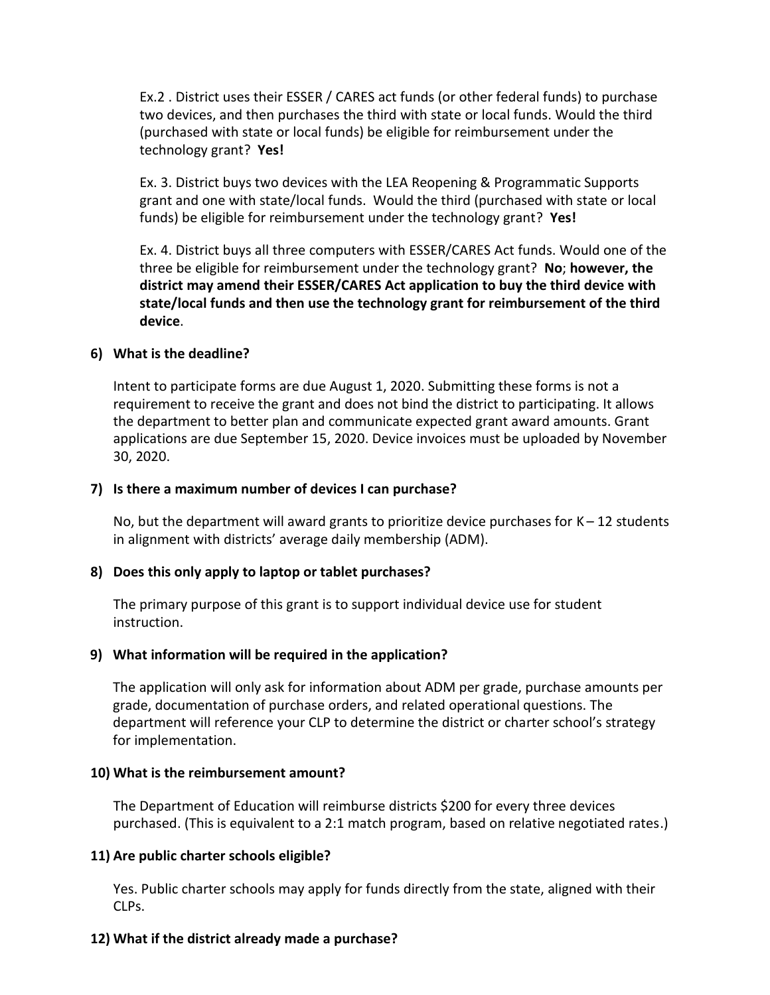Ex.2 . District uses their ESSER / CARES act funds (or other federal funds) to purchase two devices, and then purchases the third with state or local funds. Would the third (purchased with state or local funds) be eligible for reimbursement under the technology grant? **Yes!**

Ex. 3. District buys two devices with the LEA Reopening & Programmatic Supports grant and one with state/local funds. Would the third (purchased with state or local funds) be eligible for reimbursement under the technology grant? **Yes!**

Ex. 4. District buys all three computers with ESSER/CARES Act funds. Would one of the three be eligible for reimbursement under the technology grant? **No**; **however, the district may amend their ESSER/CARES Act application to buy the third device with state/local funds and then use the technology grant for reimbursement of the third device**.

### **6) What is the deadline?**

Intent to participate forms are due August 1, 2020. Submitting these forms is not a requirement to receive the grant and does not bind the district to participating. It allows the department to better plan and communicate expected grant award amounts. Grant applications are due September 15, 2020. Device invoices must be uploaded by November 30, 2020.

### **7) Is there a maximum number of devices I can purchase?**

No, but the department will award grants to prioritize device purchases for  $K - 12$  students in alignment with districts' average daily membership (ADM).

# **8) Does this only apply to laptop or tablet purchases?**

The primary purpose of this grant is to support individual device use for student instruction.

### **9) What information will be required in the application?**

The application will only ask for information about ADM per grade, purchase amounts per grade, documentation of purchase orders, and related operational questions. The department will reference your CLP to determine the district or charter school's strategy for implementation.

### **10) What is the reimbursement amount?**

The Department of Education will reimburse districts \$200 for every three devices purchased. (This is equivalent to a 2:1 match program, based on relative negotiated rates.)

# **11) Are public charter schools eligible?**

Yes. Public charter schools may apply for funds directly from the state, aligned with their CLPs.

# **12) What if the district already made a purchase?**